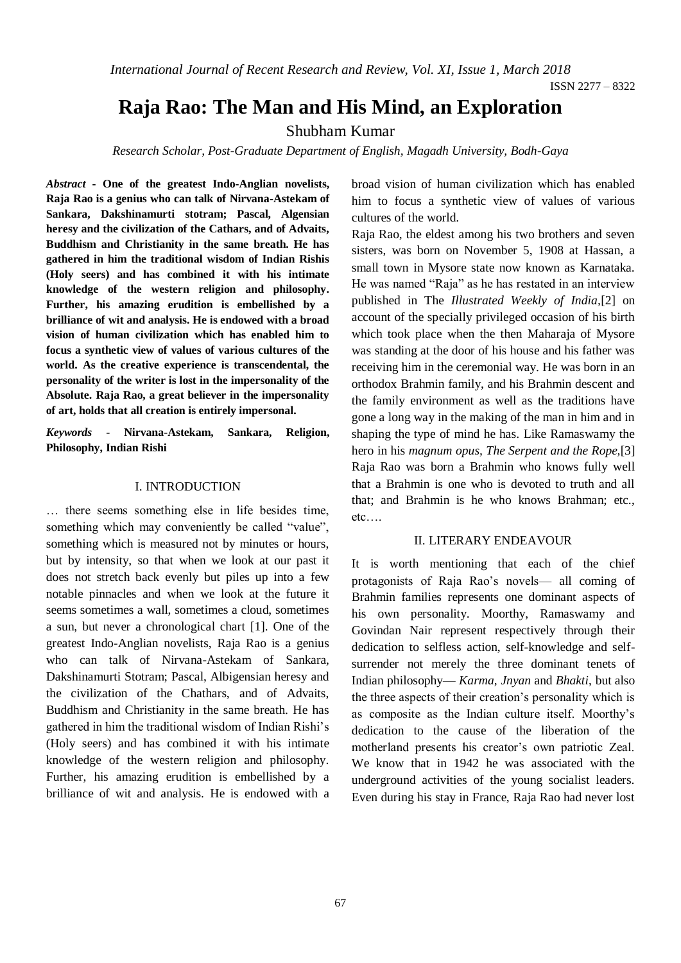*International Journal of Recent Research and Review, Vol. XI, Issue 1, March 2018*

# **Raja Rao: The Man and His Mind, an Exploration**

## Shubham Kumar

*Research Scholar, Post-Graduate Department of English, Magadh University, Bodh-Gaya*

*Abstract* **- One of the greatest Indo-Anglian novelists, Raja Rao is a genius who can talk of Nirvana-Astekam of Sankara, Dakshinamurti stotram; Pascal, Algensian heresy and the civilization of the Cathars, and of Advaits, Buddhism and Christianity in the same breath. He has gathered in him the traditional wisdom of Indian Rishis (Holy seers) and has combined it with his intimate knowledge of the western religion and philosophy. Further, his amazing erudition is embellished by a brilliance of wit and analysis. He is endowed with a broad vision of human civilization which has enabled him to focus a synthetic view of values of various cultures of the world. As the creative experience is transcendental, the personality of the writer is lost in the impersonality of the Absolute. Raja Rao, a great believer in the impersonality of art, holds that all creation is entirely impersonal.**

*Keywords -* **Nirvana-Astekam, Sankara, Religion, Philosophy, Indian Rishi** 

#### I. INTRODUCTION

… there seems something else in life besides time, something which may conveniently be called "value", something which is measured not by minutes or hours, but by intensity, so that when we look at our past it does not stretch back evenly but piles up into a few notable pinnacles and when we look at the future it seems sometimes a wall, sometimes a cloud, sometimes a sun, but never a chronological chart [1]. One of the greatest Indo-Anglian novelists, Raja Rao is a genius who can talk of Nirvana-Astekam of Sankara, Dakshinamurti Stotram; Pascal, Albigensian heresy and the civilization of the Chathars, and of Advaits, Buddhism and Christianity in the same breath. He has gathered in him the traditional wisdom of Indian Rishi's (Holy seers) and has combined it with his intimate knowledge of the western religion and philosophy. Further, his amazing erudition is embellished by a brilliance of wit and analysis. He is endowed with a

broad vision of human civilization which has enabled him to focus a synthetic view of values of various cultures of the world.

Raja Rao, the eldest among his two brothers and seven sisters, was born on November 5, 1908 at Hassan, a small town in Mysore state now known as Karnataka. He was named "Raja" as he has restated in an interview published in The *Illustrated Weekly of India,*[2] on account of the specially privileged occasion of his birth which took place when the then Maharaja of Mysore was standing at the door of his house and his father was receiving him in the ceremonial way. He was born in an orthodox Brahmin family, and his Brahmin descent and the family environment as well as the traditions have gone a long way in the making of the man in him and in shaping the type of mind he has. Like Ramaswamy the hero in his *magnum opus, The Serpent and the Rope,*[3] Raja Rao was born a Brahmin who knows fully well that a Brahmin is one who is devoted to truth and all that; and Brahmin is he who knows Brahman; etc., etc….

#### II. LITERARY ENDEAVOUR

It is worth mentioning that each of the chief protagonists of Raja Rao's novels— all coming of Brahmin families represents one dominant aspects of his own personality. Moorthy, Ramaswamy and Govindan Nair represent respectively through their dedication to selfless action, self-knowledge and selfsurrender not merely the three dominant tenets of Indian philosophy— *Karma, Jnyan* and *Bhakti*, but also the three aspects of their creation's personality which is as composite as the Indian culture itself. Moorthy's dedication to the cause of the liberation of the motherland presents his creator's own patriotic Zeal. We know that in 1942 he was associated with the underground activities of the young socialist leaders. Even during his stay in France, Raja Rao had never lost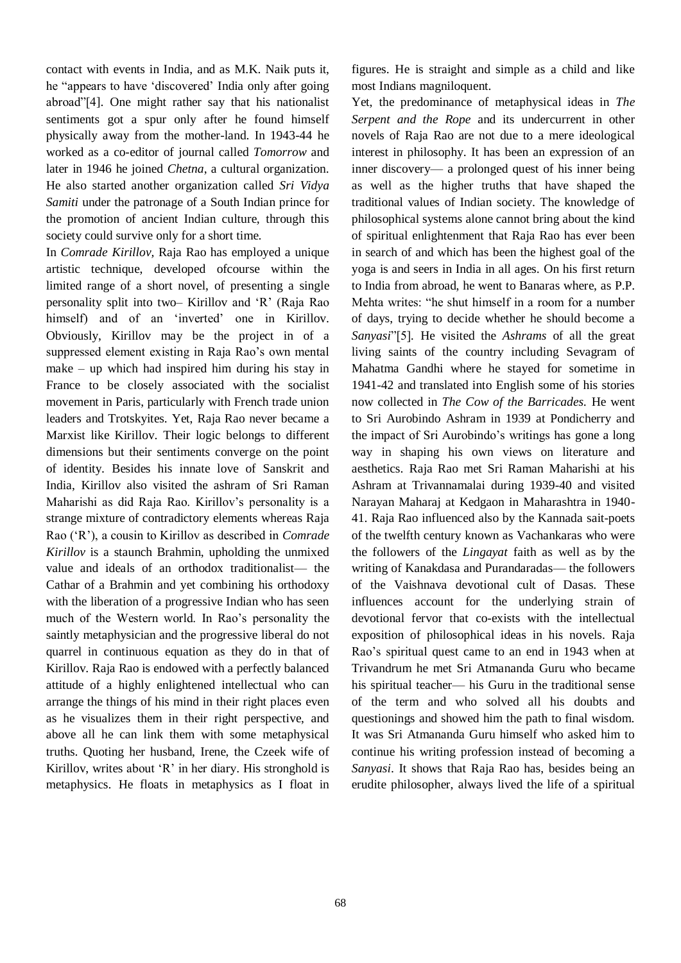contact with events in India, and as M.K. Naik puts it, he "appears to have 'discovered' India only after going abroad"[4]. One might rather say that his nationalist sentiments got a spur only after he found himself physically away from the mother-land. In 1943-44 he worked as a co-editor of journal called *Tomorrow* and later in 1946 he joined *Chetna*, a cultural organization. He also started another organization called *Sri Vidya Samiti* under the patronage of a South Indian prince for the promotion of ancient Indian culture, through this society could survive only for a short time.

In *Comrade Kirillov,* Raja Rao has employed a unique artistic technique, developed ofcourse within the limited range of a short novel, of presenting a single personality split into two– Kirillov and 'R' (Raja Rao himself) and of an 'inverted' one in Kirillov. Obviously, Kirillov may be the project in of a suppressed element existing in Raja Rao's own mental make – up which had inspired him during his stay in France to be closely associated with the socialist movement in Paris, particularly with French trade union leaders and Trotskyites. Yet, Raja Rao never became a Marxist like Kirillov. Their logic belongs to different dimensions but their sentiments converge on the point of identity. Besides his innate love of Sanskrit and India, Kirillov also visited the ashram of Sri Raman Maharishi as did Raja Rao. Kirillov's personality is a strange mixture of contradictory elements whereas Raja Rao ('R'), a cousin to Kirillov as described in *Comrade Kirillov* is a staunch Brahmin, upholding the unmixed value and ideals of an orthodox traditionalist— the Cathar of a Brahmin and yet combining his orthodoxy with the liberation of a progressive Indian who has seen much of the Western world. In Rao's personality the saintly metaphysician and the progressive liberal do not quarrel in continuous equation as they do in that of Kirillov. Raja Rao is endowed with a perfectly balanced attitude of a highly enlightened intellectual who can arrange the things of his mind in their right places even as he visualizes them in their right perspective, and above all he can link them with some metaphysical truths. Quoting her husband, Irene, the Czeek wife of Kirillov, writes about 'R' in her diary. His stronghold is metaphysics. He floats in metaphysics as I float in figures. He is straight and simple as a child and like most Indians magniloquent.

Yet, the predominance of metaphysical ideas in *The Serpent and the Rope* and its undercurrent in other novels of Raja Rao are not due to a mere ideological interest in philosophy. It has been an expression of an inner discovery— a prolonged quest of his inner being as well as the higher truths that have shaped the traditional values of Indian society. The knowledge of philosophical systems alone cannot bring about the kind of spiritual enlightenment that Raja Rao has ever been in search of and which has been the highest goal of the yoga is and seers in India in all ages. On his first return to India from abroad, he went to Banaras where, as P.P. Mehta writes: "he shut himself in a room for a number of days, trying to decide whether he should become a *Sanyasi*"[5]*.* He visited the *Ashrams* of all the great living saints of the country including Sevagram of Mahatma Gandhi where he stayed for sometime in 1941-42 and translated into English some of his stories now collected in *The Cow of the Barricades.* He went to Sri Aurobindo Ashram in 1939 at Pondicherry and the impact of Sri Aurobindo's writings has gone a long way in shaping his own views on literature and aesthetics. Raja Rao met Sri Raman Maharishi at his Ashram at Trivannamalai during 1939-40 and visited Narayan Maharaj at Kedgaon in Maharashtra in 1940- 41. Raja Rao influenced also by the Kannada sait-poets of the twelfth century known as Vachankaras who were the followers of the *Lingayat* faith as well as by the writing of Kanakdasa and Purandaradas— the followers of the Vaishnava devotional cult of Dasas. These influences account for the underlying strain of devotional fervor that co-exists with the intellectual exposition of philosophical ideas in his novels. Raja Rao's spiritual quest came to an end in 1943 when at Trivandrum he met Sri Atmananda Guru who became his spiritual teacher— his Guru in the traditional sense of the term and who solved all his doubts and questionings and showed him the path to final wisdom. It was Sri Atmananda Guru himself who asked him to continue his writing profession instead of becoming a *Sanyasi*. It shows that Raja Rao has, besides being an erudite philosopher, always lived the life of a spiritual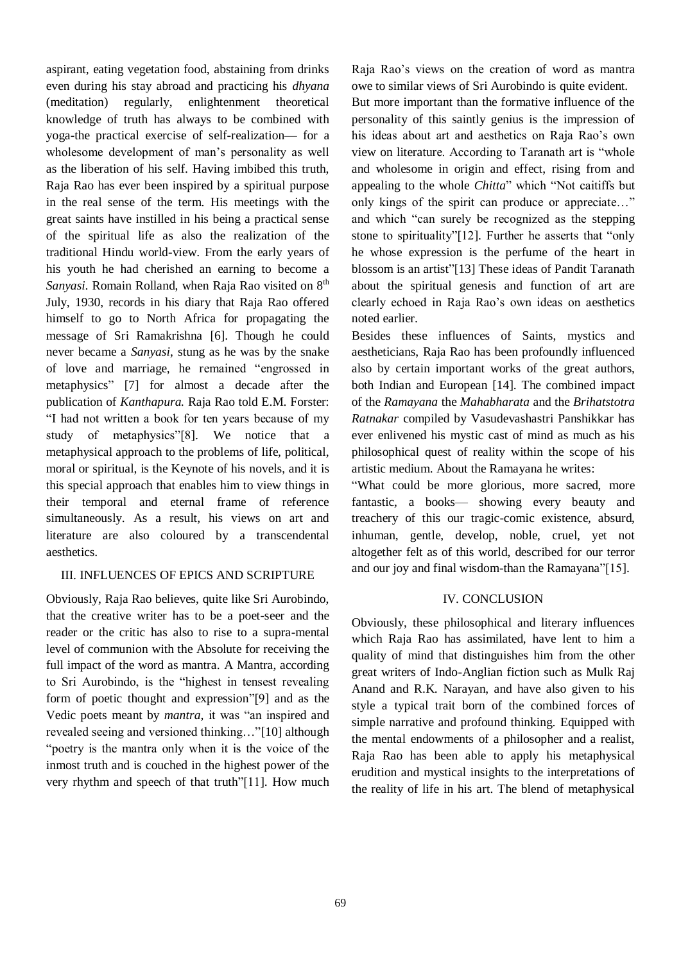aspirant, eating vegetation food, abstaining from drinks even during his stay abroad and practicing his *dhyana* (meditation) regularly, enlightenment theoretical knowledge of truth has always to be combined with yoga-the practical exercise of self-realization— for a wholesome development of man's personality as well as the liberation of his self. Having imbibed this truth, Raja Rao has ever been inspired by a spiritual purpose in the real sense of the term. His meetings with the great saints have instilled in his being a practical sense of the spiritual life as also the realization of the traditional Hindu world-view. From the early years of his youth he had cherished an earning to become a *Sanyasi.* Romain Rolland, when Raja Rao visited on 8<sup>th</sup> July, 1930, records in his diary that Raja Rao offered himself to go to North Africa for propagating the message of Sri Ramakrishna [6]. Though he could never became a *Sanyasi*, stung as he was by the snake of love and marriage, he remained "engrossed in metaphysics" [7] for almost a decade after the publication of *Kanthapura.* Raja Rao told E.M. Forster: "I had not written a book for ten years because of my study of metaphysics"[8]. We notice that a metaphysical approach to the problems of life, political, moral or spiritual, is the Keynote of his novels, and it is this special approach that enables him to view things in their temporal and eternal frame of reference simultaneously. As a result, his views on art and literature are also coloured by a transcendental aesthetics.

### III. INFLUENCES OF EPICS AND SCRIPTURE

Obviously, Raja Rao believes, quite like Sri Aurobindo, that the creative writer has to be a poet-seer and the reader or the critic has also to rise to a supra-mental level of communion with the Absolute for receiving the full impact of the word as mantra. A Mantra, according to Sri Aurobindo, is the "highest in tensest revealing form of poetic thought and expression"[9] and as the Vedic poets meant by *mantra,* it was "an inspired and revealed seeing and versioned thinking…"[10] although "poetry is the mantra only when it is the voice of the inmost truth and is couched in the highest power of the very rhythm and speech of that truth"[11]. How much Raja Rao's views on the creation of word as mantra owe to similar views of Sri Aurobindo is quite evident. But more important than the formative influence of the personality of this saintly genius is the impression of his ideas about art and aesthetics on Raja Rao's own view on literature. According to Taranath art is "whole and wholesome in origin and effect, rising from and appealing to the whole *Chitta*" which "Not caitiffs but only kings of the spirit can produce or appreciate…" and which "can surely be recognized as the stepping stone to spirituality"[12]. Further he asserts that "only he whose expression is the perfume of the heart in blossom is an artist"[13] These ideas of Pandit Taranath about the spiritual genesis and function of art are clearly echoed in Raja Rao's own ideas on aesthetics noted earlier.

Besides these influences of Saints, mystics and aestheticians, Raja Rao has been profoundly influenced also by certain important works of the great authors, both Indian and European [14]. The combined impact of the *Ramayana* the *Mahabharata* and the *Brihatstotra Ratnakar* compiled by Vasudevashastri Panshikkar has ever enlivened his mystic cast of mind as much as his philosophical quest of reality within the scope of his artistic medium. About the Ramayana he writes:

"What could be more glorious, more sacred, more fantastic, a books— showing every beauty and treachery of this our tragic-comic existence, absurd, inhuman, gentle, develop, noble, cruel, yet not altogether felt as of this world, described for our terror and our joy and final wisdom-than the Ramayana"[15].

#### IV. CONCLUSION

Obviously, these philosophical and literary influences which Raja Rao has assimilated, have lent to him a quality of mind that distinguishes him from the other great writers of Indo-Anglian fiction such as Mulk Raj Anand and R.K. Narayan, and have also given to his style a typical trait born of the combined forces of simple narrative and profound thinking. Equipped with the mental endowments of a philosopher and a realist, Raja Rao has been able to apply his metaphysical erudition and mystical insights to the interpretations of the reality of life in his art. The blend of metaphysical